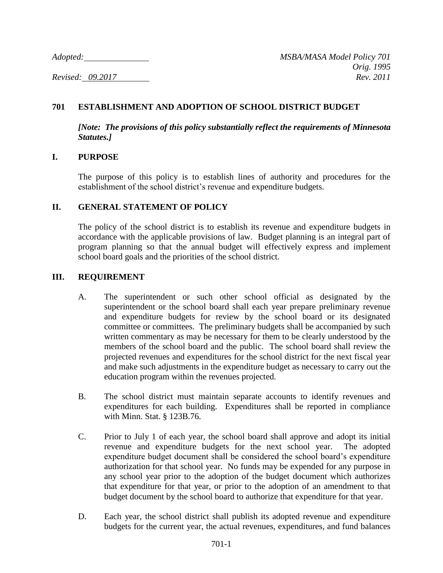# **701 ESTABLISHMENT AND ADOPTION OF SCHOOL DISTRICT BUDGET**

*[Note: The provisions of this policy substantially reflect the requirements of Minnesota Statutes.]*

### **I. PURPOSE**

The purpose of this policy is to establish lines of authority and procedures for the establishment of the school district's revenue and expenditure budgets.

## **II. GENERAL STATEMENT OF POLICY**

The policy of the school district is to establish its revenue and expenditure budgets in accordance with the applicable provisions of law. Budget planning is an integral part of program planning so that the annual budget will effectively express and implement school board goals and the priorities of the school district.

## **III. REQUIREMENT**

- A. The superintendent or such other school official as designated by the superintendent or the school board shall each year prepare preliminary revenue and expenditure budgets for review by the school board or its designated committee or committees. The preliminary budgets shall be accompanied by such written commentary as may be necessary for them to be clearly understood by the members of the school board and the public. The school board shall review the projected revenues and expenditures for the school district for the next fiscal year and make such adjustments in the expenditure budget as necessary to carry out the education program within the revenues projected.
- B. The school district must maintain separate accounts to identify revenues and expenditures for each building. Expenditures shall be reported in compliance with Minn. Stat. § 123B.76.
- C. Prior to July 1 of each year, the school board shall approve and adopt its initial revenue and expenditure budgets for the next school year. The adopted expenditure budget document shall be considered the school board's expenditure authorization for that school year. No funds may be expended for any purpose in any school year prior to the adoption of the budget document which authorizes that expenditure for that year, or prior to the adoption of an amendment to that budget document by the school board to authorize that expenditure for that year.
- D. Each year, the school district shall publish its adopted revenue and expenditure budgets for the current year, the actual revenues, expenditures, and fund balances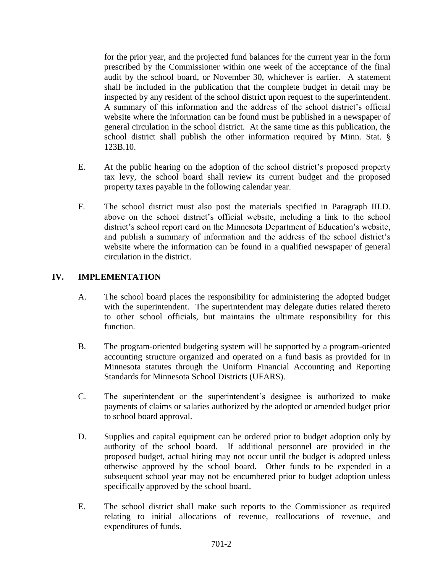for the prior year, and the projected fund balances for the current year in the form prescribed by the Commissioner within one week of the acceptance of the final audit by the school board, or November 30, whichever is earlier. A statement shall be included in the publication that the complete budget in detail may be inspected by any resident of the school district upon request to the superintendent. A summary of this information and the address of the school district's official website where the information can be found must be published in a newspaper of general circulation in the school district. At the same time as this publication, the school district shall publish the other information required by Minn. Stat. § 123B.10.

- E. At the public hearing on the adoption of the school district's proposed property tax levy, the school board shall review its current budget and the proposed property taxes payable in the following calendar year.
- F. The school district must also post the materials specified in Paragraph III.D. above on the school district's official website, including a link to the school district's school report card on the Minnesota Department of Education's website, and publish a summary of information and the address of the school district's website where the information can be found in a qualified newspaper of general circulation in the district.

## **IV. IMPLEMENTATION**

- A. The school board places the responsibility for administering the adopted budget with the superintendent. The superintendent may delegate duties related thereto to other school officials, but maintains the ultimate responsibility for this function.
- B. The program-oriented budgeting system will be supported by a program-oriented accounting structure organized and operated on a fund basis as provided for in Minnesota statutes through the Uniform Financial Accounting and Reporting Standards for Minnesota School Districts (UFARS).
- C. The superintendent or the superintendent's designee is authorized to make payments of claims or salaries authorized by the adopted or amended budget prior to school board approval.
- D. Supplies and capital equipment can be ordered prior to budget adoption only by authority of the school board. If additional personnel are provided in the proposed budget, actual hiring may not occur until the budget is adopted unless otherwise approved by the school board. Other funds to be expended in a subsequent school year may not be encumbered prior to budget adoption unless specifically approved by the school board.
- E. The school district shall make such reports to the Commissioner as required relating to initial allocations of revenue, reallocations of revenue, and expenditures of funds.